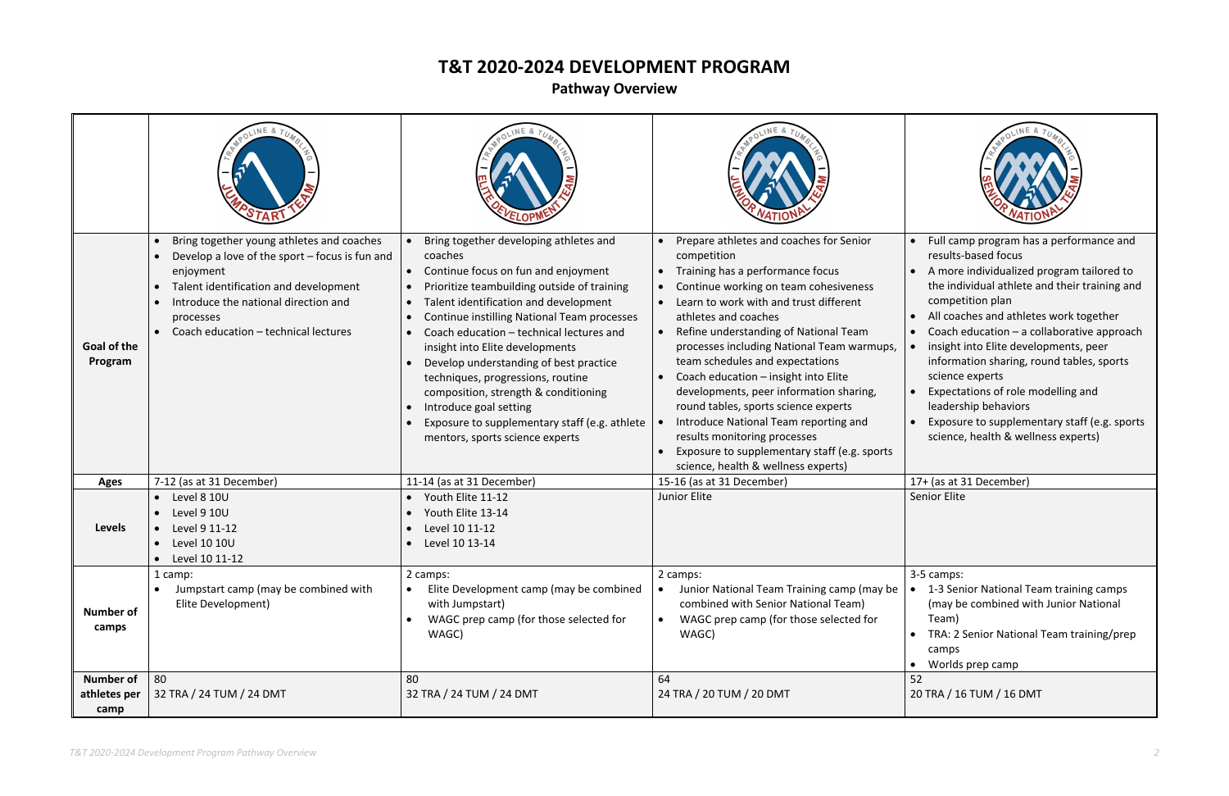## **T&T 2020-2024 DEVELOPMENT PROGRAM**

**Pathway Overview**

| Goal of the<br>Program                   | Bring together young athletes and coaches<br>Develop a love of the sport - focus is fun and<br>enjoyment<br>Talent identification and development<br>Introduce the national direction and<br>processes<br>Coach education - technical lectures | Bring together developing athletes and<br>coaches<br>Continue focus on fun and enjoyment<br>Prioritize teambuilding outside of training<br>Talent identification and development<br>Continue instilling National Team processes<br>Coach education - technical lectures and<br>insight into Elite developments<br>Develop understanding of best practice<br>techniques, progressions, routine<br>composition, strength & conditioning<br>Introduce goal setting<br>Exposure to supplementary staff (e.g. athlete<br>mentors, sports science experts | Prepare athletes and coaches for Senior<br>$\bullet$<br>competition<br>Training has a performance focus<br>$\bullet$<br>Continue working on team cohesiveness<br>Learn to work with and trust different<br>$\bullet$<br>athletes and coaches<br>Refine understanding of National Team<br>$\bullet$<br>processes including National Team warmups,<br>team schedules and expectations<br>Coach education - insight into Elite<br>$\bullet$<br>developments, peer information sharing,<br>round tables, sports science experts<br>Introduce National Team reporting and<br>results monitoring processes<br>Exposure to supplementary staff (e.g. sports<br>science, health & wellness experts) | Full camp program has a performance and<br>results-based focus<br>A more individualized program tailored to<br>the individual athlete and their training and<br>competition plan<br>All coaches and athletes work together<br>Coach education - a collaborative approach<br>insight into Elite developments, peer<br>information sharing, round tables, sports<br>science experts<br>Expectations of role modelling and<br>leadership behaviors<br>Exposure to supplementary staff (e.g. sports<br>science, health & wellness experts) |
|------------------------------------------|------------------------------------------------------------------------------------------------------------------------------------------------------------------------------------------------------------------------------------------------|-----------------------------------------------------------------------------------------------------------------------------------------------------------------------------------------------------------------------------------------------------------------------------------------------------------------------------------------------------------------------------------------------------------------------------------------------------------------------------------------------------------------------------------------------------|---------------------------------------------------------------------------------------------------------------------------------------------------------------------------------------------------------------------------------------------------------------------------------------------------------------------------------------------------------------------------------------------------------------------------------------------------------------------------------------------------------------------------------------------------------------------------------------------------------------------------------------------------------------------------------------------|----------------------------------------------------------------------------------------------------------------------------------------------------------------------------------------------------------------------------------------------------------------------------------------------------------------------------------------------------------------------------------------------------------------------------------------------------------------------------------------------------------------------------------------|
| <b>Ages</b>                              | 7-12 (as at 31 December)                                                                                                                                                                                                                       | 11-14 (as at 31 December)                                                                                                                                                                                                                                                                                                                                                                                                                                                                                                                           | 15-16 (as at 31 December)                                                                                                                                                                                                                                                                                                                                                                                                                                                                                                                                                                                                                                                                   | 17+ (as at 31 December)                                                                                                                                                                                                                                                                                                                                                                                                                                                                                                                |
| <b>Levels</b>                            | $\bullet$ Level 8 10U<br>Level 9 10U<br>Level 9 11-12<br>Level 10 10U<br>Level 10 11-12                                                                                                                                                        | Youth Elite 11-12<br>Youth Elite 13-14<br>Level 10 11-12<br>Level 10 13-14                                                                                                                                                                                                                                                                                                                                                                                                                                                                          | Junior Elite                                                                                                                                                                                                                                                                                                                                                                                                                                                                                                                                                                                                                                                                                | <b>Senior Elite</b>                                                                                                                                                                                                                                                                                                                                                                                                                                                                                                                    |
| <b>Number of</b><br>camps                | 1 camp:<br>Jumpstart camp (may be combined with<br>Elite Development)                                                                                                                                                                          | 2 camps:<br>Elite Development camp (may be combined<br>with Jumpstart)<br>WAGC prep camp (for those selected for<br>WAGC)                                                                                                                                                                                                                                                                                                                                                                                                                           | 2 camps:<br>Junior National Team Training camp (may be<br>combined with Senior National Team)<br>WAGC prep camp (for those selected for<br>$\bullet$<br>WAGC)                                                                                                                                                                                                                                                                                                                                                                                                                                                                                                                               | 3-5 camps:<br>1-3 Senior National Team training camps<br>(may be combined with Junior National<br>Team)<br>TRA: 2 Senior National Team training/prep<br>camps<br>Worlds prep camp                                                                                                                                                                                                                                                                                                                                                      |
| <b>Number of</b><br>athletes per<br>camp | 80<br>32 TRA / 24 TUM / 24 DMT                                                                                                                                                                                                                 | 80<br>32 TRA / 24 TUM / 24 DMT                                                                                                                                                                                                                                                                                                                                                                                                                                                                                                                      | 64<br>24 TRA / 20 TUM / 20 DMT                                                                                                                                                                                                                                                                                                                                                                                                                                                                                                                                                                                                                                                              | 52<br>20 TRA / 16 TUM / 16 DMT                                                                                                                                                                                                                                                                                                                                                                                                                                                                                                         |